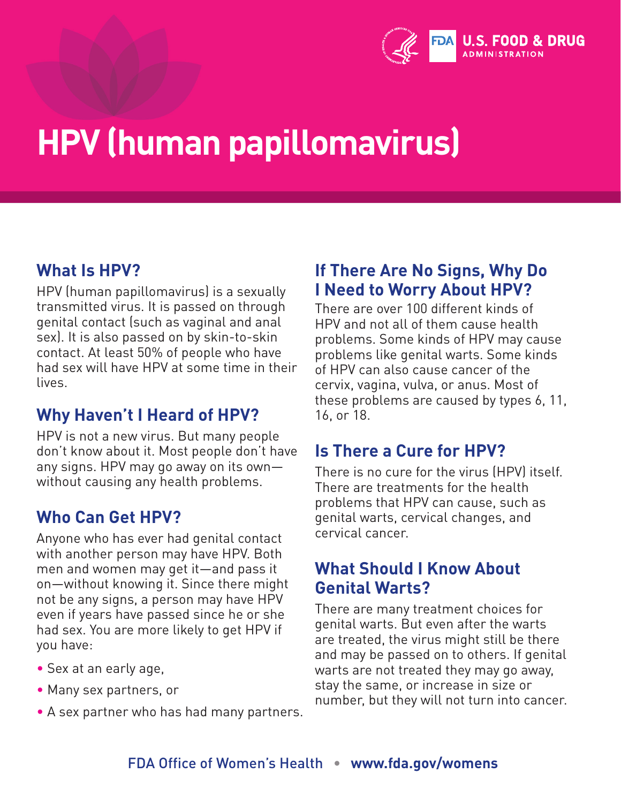

## **HPV (human papillomavirus)**

### **What Is HPV?**

HPV (human papillomavirus) is a sexually transmitted virus. It is passed on through genital contact (such as vaginal and anal sex). It is also passed on by skin-to-skin contact. At least 50% of people who have had sex will have HPV at some time in their lives.

#### **Why Haven't I Heard of HPV?**

HPV is not a new virus. But many people don't know about it. Most people don't have any signs. HPV may go away on its own without causing any health problems.

#### **Who Can Get HPV?**

Anyone who has ever had genital contact with another person may have HPV. Both men and women may get it—and pass it on—without knowing it. Since there might not be any signs, a person may have HPV even if years have passed since he or she had sex. You are more likely to get HPV if you have:

- Sex at an early age,
- Many sex partners, or
- A sex partner who has had many partners.

#### **If There Are No Signs, Why Do I Need to Worry About HPV?**

There are over 100 different kinds of HPV and not all of them cause health problems. Some kinds of HPV may cause problems like genital warts. Some kinds of HPV can also cause cancer of the cervix, vagina, vulva, or anus. Most of these problems are caused by types 6, 11, 16, or 18.

#### **Is There a Cure for HPV?**

There is no cure for the virus (HPV) itself. There are treatments for the health problems that HPV can cause, such as genital warts, cervical changes, and cervical cancer.

#### **What Should I Know About Genital Warts?**

There are many treatment choices for genital warts. But even after the warts are treated, the virus might still be there and may be passed on to others. If genital warts are not treated they may go away, stay the same, or increase in size or number, but they will not turn into cancer.